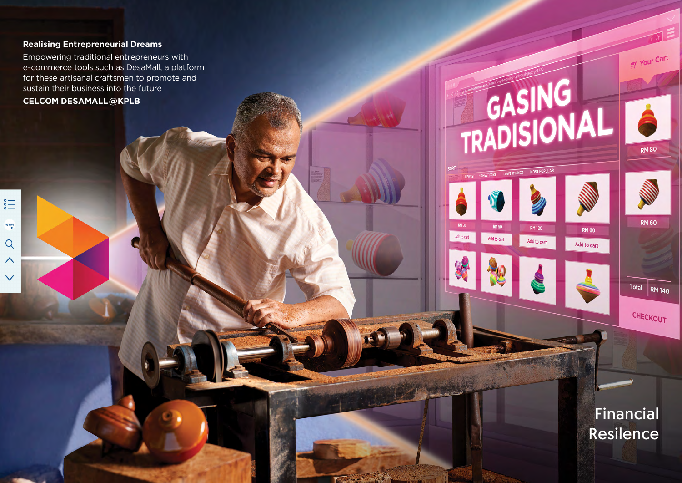## **Realising Entrepreneurial Dreams**

Empowering traditional entrepreneurs with e-commerce tools such as DesaMall, a platform for these artisanal craftsmen to promote and sustain their business into the future

**CELCOM DESAMALL@KPLB**

 $\sum_{\circ}^{\circ}$ 

 $\frac{www}{k}$ 

 $Q$ 

 $\wedge$ 

 $\checkmark$ 



**RM120** 

Add to cart

**RM 60** 

Add to cart

**RM 50** 

Add to cart

Add to cart

**IAR 2021 - A CARD AND THE SECOND CONTRACT OF A CARD AND THE SECOND CONTRACT OF A CARD AND THE SECOND CONTRACT OF A CARD AND THE SECOND CONTRACT OF A CARD AND THE SECOND CONTRACT OF A CARD AND THE SECOND CONTRACT OF A CARD** 



**RM 80** 

Your Cart

**RM 60** 

Total **RM** 140

CHECKOUT

Financial Resilence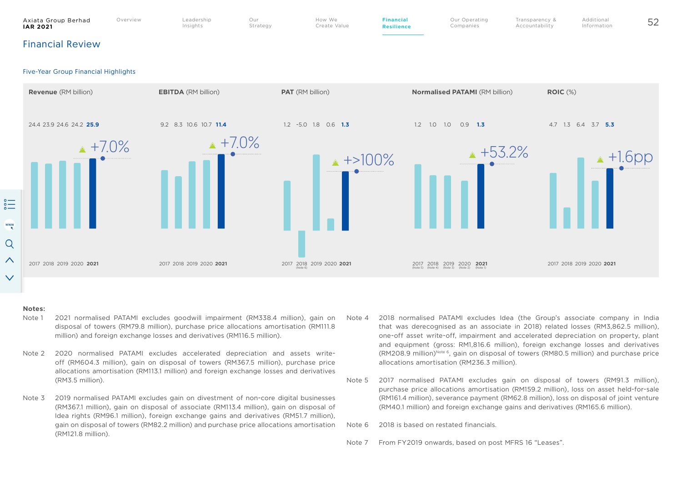



#### **Notes:**

- Note 1 2021 normalised PATAMI excludes goodwill impairment (RM338.4 million), gain on disposal of towers (RM79.8 million), purchase price allocations amortisation (RM111.8 million) and foreign exchange losses and derivatives (RM116.5 million).
- Note 2 2020 normalised PATAMI excludes accelerated depreciation and assets writeoff (RM604.3 million), gain on disposal of towers (RM367.5 million), purchase price allocations amortisation (RM113.1 million) and foreign exchange losses and derivatives (RM3.5 million).
- Note 3 2019 normalised PATAMI excludes gain on divestment of non-core digital businesses (RM367.1 million), gain on disposal of associate (RM113.4 million), gain on disposal of Idea rights (RM96.1 million), foreign exchange gains and derivatives (RM51.7 million), gain on disposal of towers (RM82.2 million) and purchase price allocations amortisation (RM121.8 million).
- Note 4 2018 normalised PATAMI excludes Idea (the Group's associate company in India that was derecognised as an associate in 2018) related losses (RM3,862.5 million), one-off asset write-off, impairment and accelerated depreciation on property, plant and equipment (gross: RM1,816.6 million), foreign exchange losses and derivatives  $(RM208.9 \text{ million})^{\text{Note } 6}$ , gain on disposal of towers  $(RM80.5 \text{ million})$  and purchase price allocations amortisation (RM236.3 million).
- Note 5 2017 normalised PATAMI excludes gain on disposal of towers (RM91.3 million), purchase price allocations amortisation (RM159.2 million), loss on asset held-for-sale (RM161.4 million), severance payment (RM62.8 million), loss on disposal of joint venture (RM40.1 million) and foreign exchange gains and derivatives (RM165.6 million).

Note 6 2018 is based on restated financials.

Note 7 From FY2019 onwards, based on post MFRS 16 "Leases".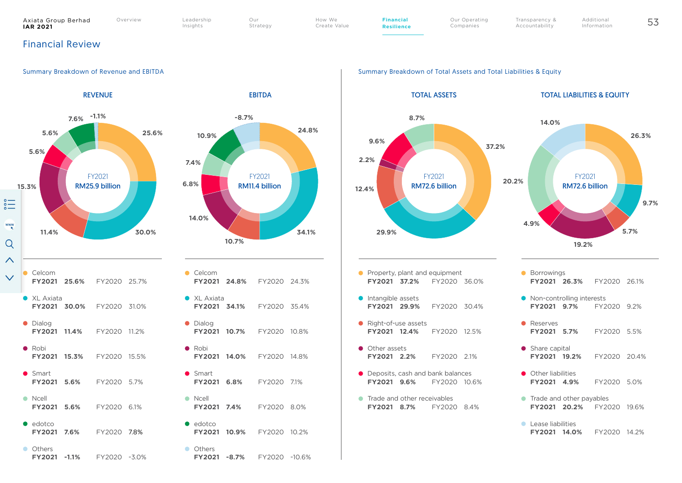#### Axiata Group Berhad<br>IAR 2021 **IAR 2021** 53 Our

Overview Leadership Insights

Strategy

How We Create Value **Financial Resilience** Our Operating Companies

Transparency & Additional Information

Accountability

# Financial Review





#### Summary Breakdown of Revenue and EBITDA Summary Breakdown of Total Assets and Total Liabilities & Equity

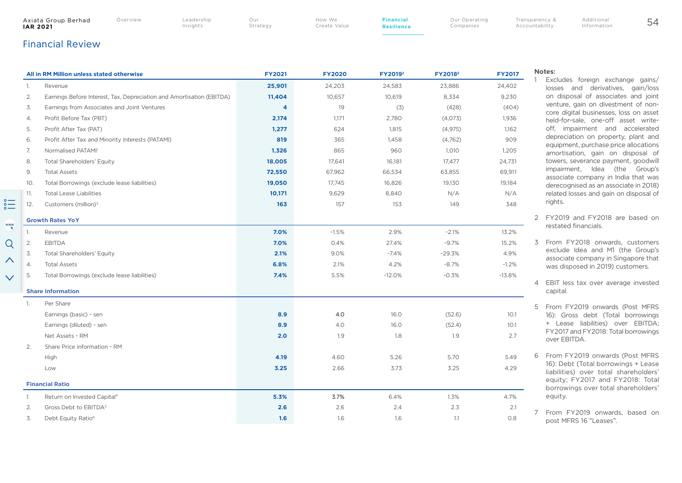|     | Axiata Group Berhad<br><b>IAR 2021</b>       | Overview                                         | Leadership<br>Insights                                                | Our<br>Strategy | How We<br>Create Value | <b>Financial</b><br><b>Resilience</b> | Our Operating<br>Companies |               | Transparency &<br>Accountability                    | Additional<br>Information                                                                                                                                   | 54                                  |  |
|-----|----------------------------------------------|--------------------------------------------------|-----------------------------------------------------------------------|-----------------|------------------------|---------------------------------------|----------------------------|---------------|-----------------------------------------------------|-------------------------------------------------------------------------------------------------------------------------------------------------------------|-------------------------------------|--|
|     | <b>Financial Review</b>                      |                                                  |                                                                       |                 |                        |                                       |                            |               |                                                     |                                                                                                                                                             |                                     |  |
|     | All in RM Million unless stated otherwise    |                                                  |                                                                       | <b>FY2021</b>   | <b>FY2020</b>          | FY2019 <sup>2</sup>                   | FY2018 <sup>2</sup>        | <b>FY2017</b> | Notes:                                              |                                                                                                                                                             |                                     |  |
| 1.  | Revenue                                      |                                                  |                                                                       | 25,901          | 24,203                 | 24,583                                | 23,886                     | 24,402        |                                                     | Excludes foreign exchange gains/<br>losses and derivatives, gain/loss                                                                                       |                                     |  |
| 2.  |                                              |                                                  | Earnings Before Interest, Tax, Depreciation and Amortisation (EBITDA) | 11,404          | 10,657                 | 10,619                                | 8,334                      | 9,230         |                                                     | on disposal of associates and joint<br>venture, gain on divestment of non-<br>core digital businesses, loss on asset<br>held-for-sale, one-off asset write- |                                     |  |
| 3.  |                                              | Earnings from Associates and Joint Ventures      |                                                                       | 4               | 19                     | (3)                                   | (428)                      | (404)         |                                                     |                                                                                                                                                             |                                     |  |
| 4.  | Profit Before Tax (PBT)                      |                                                  |                                                                       | 2,174           | 1,171                  | 2,780                                 | (4,073)                    | 1,936         |                                                     |                                                                                                                                                             |                                     |  |
| 5.  | Profit After Tax (PAT)                       |                                                  |                                                                       | 1,277           | 624                    | 1,815                                 | (4, 975)                   | 1,162         |                                                     | off, impairment and accelerated<br>depreciation on property, plant and                                                                                      |                                     |  |
| 6.  |                                              | Profit After Tax and Minority Interests (PATAMI) |                                                                       | 819             | 365                    | 1,458                                 | (4,762)                    | 909           |                                                     |                                                                                                                                                             |                                     |  |
| 7.  | Normalised PATAMI <sup>1</sup>               |                                                  |                                                                       | 1,326           | 865                    | 960                                   | 1,010                      | 1,205         |                                                     | equipment, purchase price allocations<br>amortisation, gain on disposal of                                                                                  | associate company in India that was |  |
| 8.  | <b>Total Shareholders' Equity</b>            |                                                  |                                                                       | 18,005          | 17,641                 | 16,181                                | 17,477                     | 24,731        |                                                     | towers, severance payment, goodwill                                                                                                                         |                                     |  |
| 9.  | <b>Total Assets</b>                          |                                                  |                                                                       | 72,550          | 67,962                 | 66,534                                | 63,855                     | 69,911        |                                                     | impairment, Idea (the Group's                                                                                                                               |                                     |  |
| 10. | Total Borrowings (exclude lease liabilities) |                                                  |                                                                       | 19,050          | 17,745                 | 16,826                                | 19,130                     | 19,184        |                                                     | derecognised as an associate in 2018)                                                                                                                       |                                     |  |
| 11. | <b>Total Lease Liabilities</b>               |                                                  |                                                                       | 10,171          | 9,629                  | 8,840                                 | N/A                        | N/A           |                                                     | related losses and gain on disposal of                                                                                                                      |                                     |  |
| 12. | Customers (million) <sup>3</sup>             |                                                  |                                                                       | 163             | 157                    | 153                                   | 149                        | 348           |                                                     | rights.                                                                                                                                                     |                                     |  |
|     | <b>Growth Rates YoY</b>                      |                                                  |                                                                       |                 |                        |                                       |                            |               |                                                     | 2 FY2019 and FY2018 are based on                                                                                                                            |                                     |  |
|     | Revenue                                      |                                                  |                                                                       | 7.0%            | $-1.5%$                | 2.9%                                  | $-2.1%$                    | 13.2%         |                                                     | restated financials.                                                                                                                                        |                                     |  |
| 2.  | <b>EBITDA</b>                                |                                                  |                                                                       | 7.0%            | 0.4%                   | 27.4%                                 | $-9.7%$                    | 15.2%         |                                                     | 3 From FY2018 onwards, customers                                                                                                                            |                                     |  |
| 3.  | <b>Total Shareholders' Equity</b>            |                                                  |                                                                       | 2.1%            | 9.0%                   | $-7.4%$                               | $-29.3%$                   | 4.9%          |                                                     | exclude Idea and M1 (the Group's                                                                                                                            | associate company in Singapore that |  |
| 4.  | <b>Total Assets</b>                          |                                                  |                                                                       | 6.8%            | 2.1%                   | 4.2%                                  | $-8.7%$                    | $-1.2%$       |                                                     | was disposed in 2019) customers.                                                                                                                            |                                     |  |
| 5.  | Total Borrowings (exclude lease liabilities) |                                                  |                                                                       | 7.4%            | 5.5%                   | $-12.0%$                              | $-0.3%$                    | $-13.8%$      |                                                     |                                                                                                                                                             |                                     |  |
|     | <b>Share Information</b>                     |                                                  |                                                                       |                 |                        |                                       |                            |               |                                                     | 4 EBIT less tax over average invested<br>capital.                                                                                                           |                                     |  |
| -1. | Per Share                                    |                                                  |                                                                       |                 |                        |                                       |                            |               |                                                     |                                                                                                                                                             |                                     |  |
|     | Earnings (basic) - sen                       |                                                  |                                                                       | 8.9             | 4.0                    | 16.0                                  | (52.6)                     | 10.1          |                                                     | 5 From FY2019 onwards (Post MFRS<br>16): Gross debt (Total borrowings                                                                                       |                                     |  |
|     | Earnings (diluted) - sen                     |                                                  |                                                                       | 8.9             | 4.0                    | 16.0                                  | (52.4)                     | 10.1          |                                                     | + Lease liabilities) over EBITDA;                                                                                                                           |                                     |  |
|     | Net Assets - RM                              |                                                  |                                                                       | 2.0             | 1.9                    | 1.8                                   | 1.9                        | 2.7           | FY2017 and FY2018: Total borrowings<br>over EBITDA. |                                                                                                                                                             |                                     |  |
| 2.  | Share Price information - RM                 |                                                  |                                                                       |                 |                        |                                       |                            |               |                                                     |                                                                                                                                                             |                                     |  |
|     | High                                         |                                                  |                                                                       | 4.19            | 4.60                   | 5.26                                  | 5.70                       | 5.49          |                                                     | 6 From FY2019 onwards (Post MFRS                                                                                                                            |                                     |  |
|     | Low                                          |                                                  |                                                                       | 3.25            | 2.66                   | 3.73                                  | 3.25                       | 4.29          |                                                     | 16): Debt (Total borrowings + Lease                                                                                                                         |                                     |  |
|     | <b>Financial Ratio</b>                       |                                                  |                                                                       |                 |                        |                                       |                            |               |                                                     | liabilities) over total shareholders'<br>equity; FY2017 and FY2018: Total                                                                                   |                                     |  |
| -1. | Return on Invested Capital <sup>4</sup>      |                                                  |                                                                       | 5.3%            | 3.7%                   | 6.4%                                  | 1.3%                       | 4.7%          |                                                     | borrowings over total shareholders'<br>equity.                                                                                                              |                                     |  |
| 2.  | Gross Debt to EBITDA <sup>5</sup>            |                                                  |                                                                       | 2.6             | 2.6                    | 2.4                                   | 2.3                        | 2.1           |                                                     |                                                                                                                                                             |                                     |  |
| 3.  | Debt Equity Ratio <sup>6</sup>               |                                                  |                                                                       | 1.6             | 1.6                    | 1.6                                   | 1.1                        | 0.8           |                                                     | From FY2019 onwards, based on                                                                                                                               |                                     |  |
|     |                                              |                                                  |                                                                       |                 |                        |                                       |                            |               |                                                     | post MFRS 16 "Leases".                                                                                                                                      |                                     |  |

 $\overset{\circ}{=}$ 

 $\frac{www}{k}$ 

 $Q$  $\boldsymbol{\wedge}$ 

 $\checkmark$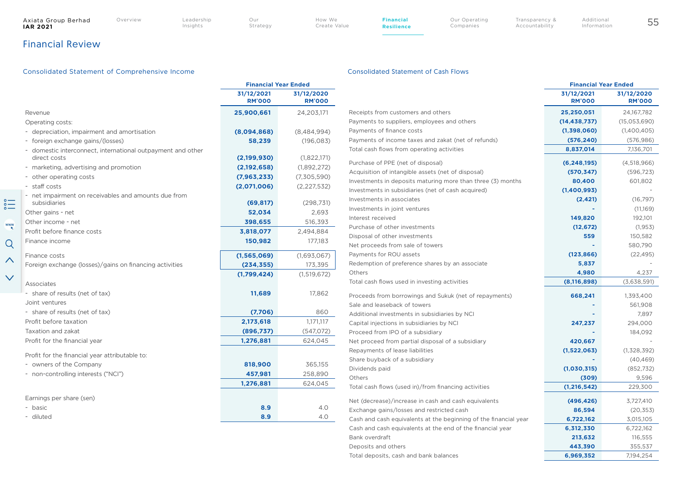$\stackrel{\circ}{=}$ 

 $\frac{WW}{R}$ 

 $Q$ 

 $\boldsymbol{\wedge}$ 

 $\checkmark$ 

Insights

How We Create Value

Transparency & Accountability

# Financial Review

## Consolidated Statement of Comprehensive Income Consolidated Statement of Cash Flows

**Financial Resilience**

|                                                             | <b>Financial Year Ended</b> |                             |  |
|-------------------------------------------------------------|-----------------------------|-----------------------------|--|
|                                                             | 31/12/2021<br><b>RM'000</b> | 31/12/2020<br><b>RM'000</b> |  |
| Revenue                                                     | 25,900,661                  | 24,203,171                  |  |
| Operating costs:                                            |                             |                             |  |
| - depreciation, impairment and amortisation                 | (8,094,868)                 | (8,484,994)                 |  |
| - foreign exchange gains/(losses)                           | 58,239                      | (196, 083)                  |  |
| - domestic interconnect, international outpayment and other |                             |                             |  |
| direct costs                                                | (2,199,930)                 | (1,822,171)                 |  |
| - marketing, advertising and promotion                      | (2,192,658)                 | (1,892,272)                 |  |
| - other operating costs                                     | (7, 963, 233)               | (7,305,590)                 |  |
| - staff costs                                               | (2,071,006)                 | (2, 227, 532)               |  |
| - net impairment on receivables and amounts due from        |                             |                             |  |
| subsidiaries                                                | (69, 817)                   | (298, 731)                  |  |
| Other gains - net                                           | 52,034                      | 2,693                       |  |
| Other income - net                                          | 398,655                     | 516,393                     |  |
| Profit before finance costs                                 | 3,818,077                   | 2,494,884                   |  |
| Finance income                                              | 150,982                     | 177,183                     |  |
| Finance costs                                               | (1, 565, 069)               | (1,693,067)                 |  |
| Foreign exchange (losses)/gains on financing activities     | (234, 355)                  | 173,395                     |  |
|                                                             | (1,799,424)                 | (1,519,672)                 |  |
| Associates                                                  |                             |                             |  |
| - share of results (net of tax)                             | 11,689                      | 17,862                      |  |
| Joint ventures                                              |                             |                             |  |
| - share of results (net of tax)                             | (7,706)                     | 860                         |  |
| Profit before taxation                                      | 2,173,618                   | 1,171,117                   |  |
| Taxation and zakat                                          | (896,737)                   | (547,072)                   |  |
| Profit for the financial year                               | 1,276,881                   | 624,045                     |  |
| Profit for the financial year attributable to:              |                             |                             |  |
| - owners of the Company                                     | 818,900                     | 365,155                     |  |
| - non-controlling interests ("NCI")                         | 457,981                     | 258,890                     |  |
|                                                             | 1,276,881                   | 624,045                     |  |
| Earnings per share (sen)                                    |                             |                             |  |
| - basic                                                     | 8.9                         | 4.0                         |  |
|                                                             |                             |                             |  |

|                                                                  | <b>Financial Year Ended</b> |                             |  |
|------------------------------------------------------------------|-----------------------------|-----------------------------|--|
|                                                                  | 31/12/2021<br><b>RM'000</b> | 31/12/2020<br><b>RM'000</b> |  |
| Receipts from customers and others                               | 25,250,051                  | 24,167,782                  |  |
| Payments to suppliers, employees and others                      | (14, 438, 737)              | (15,053,690)                |  |
| Payments of finance costs                                        | (1,398,060)                 | (1,400,405)                 |  |
| Payments of income taxes and zakat (net of refunds)              | (576, 240)                  | (576, 986)                  |  |
| Total cash flows from operating activities                       | 8,837,014                   | 7,136,701                   |  |
| Purchase of PPE (net of disposal)                                | (6, 248, 195)               | (4,518,966)                 |  |
| Acquisition of intangible assets (net of disposal)               | (570, 347)                  | (596, 723)                  |  |
| Investments in deposits maturing more than three (3) months      | 80,400                      | 601,802                     |  |
| Investments in subsidiaries (net of cash acquired)               | (1,400,993)                 |                             |  |
| Investments in associates                                        | (2, 421)                    | (16, 797)                   |  |
| Investments in joint ventures                                    |                             | (11,169)                    |  |
| Interest received                                                | 149,820                     | 192,101                     |  |
| Purchase of other investments                                    | (12, 672)                   | (1, 953)                    |  |
| Disposal of other investments                                    | 559                         | 150,582                     |  |
| Net proceeds from sale of towers                                 |                             | 580,790                     |  |
| Payments for ROU assets                                          | (123, 866)                  | (22, 495)                   |  |
| Redemption of preference shares by an associate                  | 5,837                       |                             |  |
| Others                                                           | 4,980                       | 4.237                       |  |
| Total cash flows used in investing activities                    | (8, 116, 898)               | (3,638,591)                 |  |
| Proceeds from borrowings and Sukuk (net of repayments)           | 668,241                     | 1,393,400                   |  |
| Sale and leaseback of towers                                     |                             | 561,908                     |  |
| Additional investments in subsidiaries by NCI                    |                             | 7.897                       |  |
| Capital injections in subsidiaries by NCI                        | 247,237                     | 294,000                     |  |
| Proceed from IPO of a subsidiary                                 |                             | 184,092                     |  |
| Net proceed from partial disposal of a subsidiary                | 420,667                     |                             |  |
| Repayments of lease liabilities                                  | (1,522,063)                 | (1,328,392)                 |  |
| Share buyback of a subsidiary                                    |                             | (40, 469)                   |  |
| Dividends paid                                                   | (1,030,315)                 | (852, 732)                  |  |
| Others                                                           | (309)                       | 9,596                       |  |
| Total cash flows (used in)/from financing activities             | (1, 216, 542)               | 229,300                     |  |
| Net (decrease)/increase in cash and cash equivalents             | (496, 426)                  | 3,727,410                   |  |
| Exchange gains/losses and restricted cash                        | 86,594                      | (20, 353)                   |  |
| Cash and cash equivalents at the beginning of the financial year | 6,722,162                   | 3,015,105                   |  |
| Cash and cash equivalents at the end of the financial year       | 6,312,330                   | 6,722,162                   |  |
| Bank overdraft                                                   | 213,632                     | 116,555                     |  |
| Deposits and others                                              | 443,390                     | 355,537                     |  |
| Total deposits, cash and bank balances                           | 6,969,352                   | 7,194,254                   |  |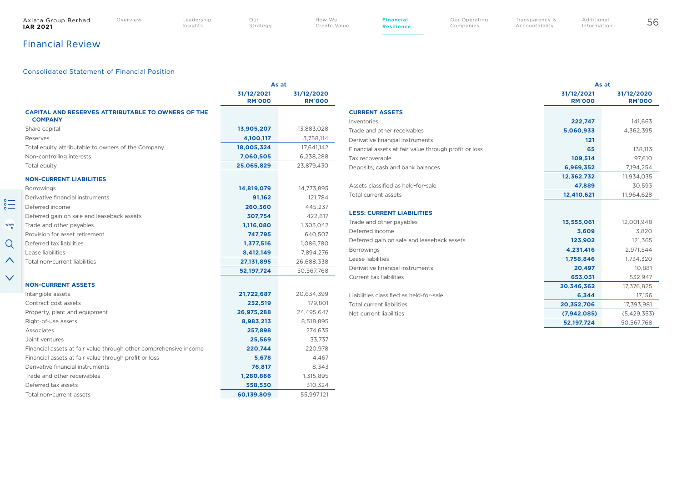$\overset{\circ}{=}$ 

 $\frac{WW}{R}$ 

 $Q$ 

 $\boldsymbol{\wedge}$ 

 $\checkmark$ 

Insights

How We Create Value **Financial Resilience**

Our Operating Companies

Transparency & Accountability

# Financial Review

### Consolidated Statement of Financial Position

|                                                                             | As at                       |                             |  |
|-----------------------------------------------------------------------------|-----------------------------|-----------------------------|--|
|                                                                             | 31/12/2021<br><b>RM'000</b> | 31/12/2020<br><b>RM'000</b> |  |
| <b>CAPITAL AND RESERVES ATTRIBUTABLE TO OWNERS OF THE</b><br><b>COMPANY</b> |                             |                             |  |
| Share capital                                                               | 13,905,207                  | 13,883,028                  |  |
| Reserves                                                                    | 4,100,117                   | 3,758,114                   |  |
| Total equity attributable to owners of the Company                          | 18,005,324                  | 17,641,142                  |  |
| Non-controlling interests                                                   | 7,060,505                   | 6,238,288                   |  |
| Total equity                                                                | 25,065,829                  | 23,879,430                  |  |
| <b>NON-CURRENT LIABILITIES</b>                                              |                             |                             |  |
| <b>Borrowings</b>                                                           | 14,819,079                  | 14,773,895                  |  |
| Derivative financial instruments                                            | 91,162                      | 121,784                     |  |
| Deferred income                                                             | 260,360                     | 445,237                     |  |
| Deferred gain on sale and leaseback assets                                  | 307,754                     | 422,817                     |  |
| Trade and other payables                                                    | 1,116,080                   | 1,303,042                   |  |
| Provision for asset retirement                                              | 747,795                     | 640,507                     |  |
| Deferred tax liabilities                                                    | 1,377,516                   | 1,086,780                   |  |
| Lease liabilities                                                           | 8,412,149                   | 7,894,276                   |  |
| Total non-current liabilities                                               | 27,131,895                  | 26,688,338                  |  |
|                                                                             | 52,197,724                  | 50,567,768                  |  |
| <b>NON-CURRENT ASSETS</b>                                                   |                             |                             |  |
| Intangible assets                                                           | 21,722,687                  | 20,634,399                  |  |
| Contract cost assets                                                        | 232,519                     | 179,801                     |  |
| Property, plant and equipment                                               | 26,975,288                  | 24,495,647                  |  |
| Right-of-use assets                                                         | 8,983,213                   | 8,518,895                   |  |
| Associates                                                                  | 257,898                     | 274,635                     |  |
| Joint ventures                                                              | 25,569                      | 33,737                      |  |
| Financial assets at fair value through other comprehensive income           | 220,744                     | 220,978                     |  |
| Financial assets at fair value through profit or loss                       | 5,678                       | 4,467                       |  |
| Derivative financial instruments                                            | 76,817                      | 8,343                       |  |
| Trade and other receivables                                                 | 1,280,866                   | 1,315,895                   |  |
| Deferred tax assets                                                         | 358,530                     | 310,324                     |  |
| Total non-current assets                                                    | 60,139,809                  | 55,997,121                  |  |

|                                                       | As at                       |                             |  |
|-------------------------------------------------------|-----------------------------|-----------------------------|--|
|                                                       | 31/12/2021<br><b>RM'000</b> | 31/12/2020<br><b>RM'000</b> |  |
| <b>CURRENT ASSETS</b>                                 |                             |                             |  |
| Inventories                                           | 222,747                     | 141,663                     |  |
| Trade and other receivables                           | 5,060,933                   | 4,362,395                   |  |
| Derivative financial instruments                      | 121                         |                             |  |
| Financial assets at fair value through profit or loss | 65                          | 138,113                     |  |
| Tax recoverable                                       | 109,514                     | 97,610                      |  |
| Deposits, cash and bank balances                      | 6,969,352                   | 7,194,254                   |  |
|                                                       | 12,362,732                  | 11,934,035                  |  |
| Assets classified as held-for-sale                    | 47,889                      | 30,593                      |  |
| Total current assets                                  | 12,410,621                  | 11,964,628                  |  |
| <b>LESS: CURRENT LIABILITIES</b>                      |                             |                             |  |
| Trade and other payables                              | 13,555,061                  | 12,001,948                  |  |
| Deferred income                                       | 3,609                       | 3,820                       |  |
| Deferred gain on sale and leaseback assets            | 123,902                     | 121,365                     |  |
| <b>Borrowings</b>                                     | 4,231,416                   | 2,971,544                   |  |
| Lease liabilities                                     | 1,758,846                   | 1,734,320                   |  |
| Derivative financial instruments                      | 20,497                      | 10,881                      |  |
| Current tax liabilities                               | 653,031                     | 532,947                     |  |
|                                                       | 20,346,362                  | 17,376,825                  |  |
| Liabilities classified as held-for-sale               | 6,344                       | 17,156                      |  |
| Total current liabilities                             | 20,352,706                  | 17,393,981                  |  |
| Net current liabilities                               | (7,942,085)                 | (5,429,353)                 |  |
|                                                       | 52,197,724                  | 50,567,768                  |  |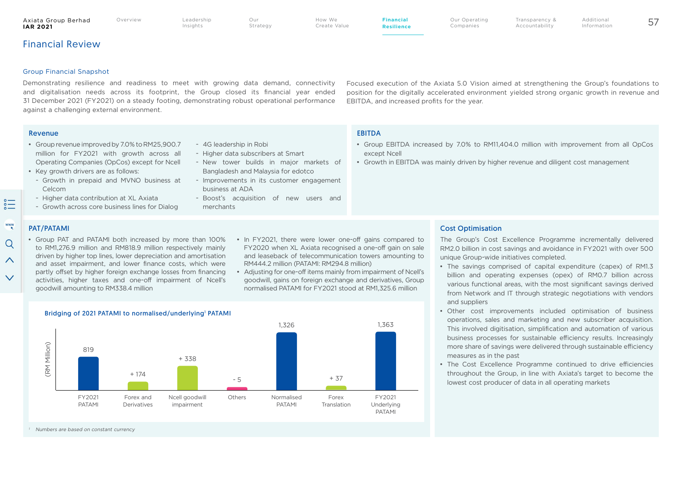## Financial Review

Axiata Group Berhad<br>IAR 2021

#### Group Financial Snapshot

Demonstrating resilience and readiness to meet with growing data demand, connectivity and digitalisation needs across its footprint, the Group closed its financial year ended 31 December 2021 (FY2021) on a steady footing, demonstrating robust operational performance against a challenging external environment.

Focused execution of the Axiata 5.0 Vision aimed at strengthening the Group's foundations to position for the digitally accelerated environment yielded strong organic growth in revenue and EBITDA, and increased profits for the year.

Transparency & Accountability

#### Revenue et al. et al. et al. et al. et al. et al. et al. et al. et al. et al. et al. et al. et al. et al. et a

- Group EBITDA increased by 7.0% to RM11,404.0 million with improvement from all OpCos except Ncell
- Growth in EBITDA was mainly driven by higher revenue and diligent cost management

PAT/PATAMI

 $\sum_{\circ}^{\circ}$ 

www

Q

 $\wedge$ 

 $\checkmark$ 

Celcom

• Group PAT and PATAMI both increased by more than 100% to RM1,276.9 million and RM818.9 million respectively mainly driven by higher top lines, lower depreciation and amortisation and asset impairment, and lower finance costs, which were partly offset by higher foreign exchange losses from financing activities, higher taxes and one-off impairment of Ncell's goodwill amounting to RM338.4 million

• Group revenue improved by 7.0% to RM25,900.7 million for FY2021 with growth across all Operating Companies (OpCos) except for Ncell

- Growth in prepaid and MVNO business at

- Higher data contribution at XL Axiata - Growth across core business lines for Dialog

• Key growth drivers are as follows:

- In FY2021, there were lower one-off gains compared to FY2020 when XL Axiata recognised a one-off gain on sale and leaseback of telecommunication towers amounting to RM444.2 million (PATAMI: RM294.8 million)
- Adjusting for one-off items mainly from impairment of Ncell's goodwill, gains on foreign exchange and derivatives, Group normalised PATAMI for FY2021 stood at RM1,325.6 million



The Group's Cost Excellence Programme incrementally delivered RM2.0 billion in cost savings and avoidance in FY2021 with over 500 unique Group-wide initiatives completed.

- The savings comprised of capital expenditure (capex) of RM1.3 billion and operating expenses (opex) of RM0.7 billion across various functional areas, with the most significant savings derived from Network and IT through strategic negotiations with vendors and suppliers
- Other cost improvements included optimisation of business operations, sales and marketing and new subscriber acquisition. This involved digitisation, simplification and automation of various business processes for sustainable efficiency results. Increasingly more share of savings were delivered through sustainable efficiency measures as in the past
- The Cost Excellence Programme continued to drive efficiencies throughout the Group, in line with Axiata's target to become the lowest cost producer of data in all operating markets



#### Bridging of 2021 PATAMI to normalised/underlying<sup>1</sup> PATAMI



- 4G leadership in Robi

business at ADA

merchants

- Higher data subscribers at Smart

- New tower builds in major markets of Bangladesh and Malaysia for edotco - Improvements in its customer engagement

- Boost's acquisition of new users and

Numbers are based on constant currency

Additional Information

**Strategy** 

How We Create Value **Financial Resilience** Our Operating Companies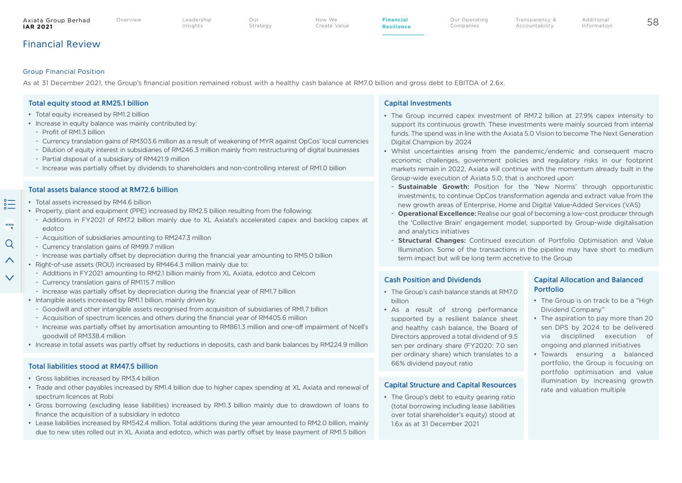#### Axiata Group Berhad<br>IAR 2021 **IAR 2021** 58 Our

Strategy

How We Create Value **Financial Resilience** Our Operating Companies

# Financial Review

## Group Financial Position

As at 31 December 2021, the Group's financial position remained robust with a healthy cash balance at RM7.0 billion and gross debt to EBITDA of 2.6x.

## Total equity stood at RM25.1 billion

- Total equity increased by RM1.2 billion
- Increase in equity balance was mainly contributed by:
	- $-$  Profit of RM1.3 billion

 $rac{1}{2}$ 

 $\frac{www}{k}$ 

 $Q$ 

 $\curvearrowright$ 

 $\checkmark$ 

- Currency translation gains of RM303.6 million as a result of weakening of MYR against OpCos' local currencies
- Dilution of equity interest in subsidiaries of RM246.3 million mainly from restructuring of digital businesses
- Partial disposal of a subsidiary of RM421.9 million
- Increase was partially offset by dividends to shareholders and non-controlling interest of RM1.0 billion

## Total assets balance stood at RM72.6 billion

- Total assets increased by RM4.6 billion
- Property, plant and equipment (PPE) increased by RM2.5 billion resulting from the following:
- Additions in FY2021 of RM7.2 billion mainly due to XL Axiata's accelerated capex and backlog capex at edotco
- Acquisition of subsidiaries amounting to RM247.3 million
- Currency translation gains of RM99.7 million
- Increase was partially offset by depreciation during the financial year amounting to RM5.0 billion
- Right-of-use assets (ROU) increased by RM464.3 million mainly due to:
	- Additions in FY2021 amounting to RM2.1 billion mainly from XL Axiata, edotco and Celcom
- Currency translation gains of RM115.7 million
- Increase was partially offset by depreciation during the financial year of RM1.7 billion
- Intangible assets increased by RM1.1 billion, mainly driven by:
- Goodwill and other intangible assets recognised from acquisition of subsidiaries of RM1.7 billion
- Acquisition of spectrum licences and others during the financial year of RM405.6 million
- Increase was partially offset by amortisation amounting to RM861.3 million and one-off impairment of Ncell's goodwill of RM338.4 million
- Increase in total assets was partly offset by reductions in deposits, cash and bank balances by RM224.9 million

## Total liabilities stood at RM47.5 billion

- Gross liabilities increased by RM3.4 billion
- Trade and other payables increased by RM1.4 billion due to higher capex spending at XL Axiata and renewal of spectrum licences at Robi
- Gross borrowing (excluding lease liabilities) increased by RM1.3 billion mainly due to drawdown of loans to finance the acquisition of a subsidiary in edotco
- Lease liabilities increased by RM542.4 million. Total additions during the year amounted to RM2.0 billion, mainly due to new sites rolled out in XL Axiata and edotco, which was partly offset by lease payment of RM1.5 billion

## Capital Investments

• The Group incurred capex investment of RM7.2 billion at 27.9% capex intensity to support its continuous growth. These investments were mainly sourced from internal funds. The spend was in line with the Axiata 5.0 Vision to become The Next Generation Digital Champion by 2024

Transparency & Accountability

- Whilst uncertainties arising from the pandemic/endemic and consequent macro economic challenges, government policies and regulatory risks in our footprint markets remain in 2022, Axiata will continue with the momentum already built in the Group-wide execution of Axiata 5.0, that is anchored upon:
	- **Sustainable Growth:** Position for the 'New Norms' through opportunistic investments, to continue OpCos transformation agenda and extract value from the new growth areas of Enterprise, Home and Digital Value-Added Services (VAS)
- **Operational Excellence:** Realise our goal of becoming a low-cost producer through the 'Collective Brain' engagement model; supported by Group-wide digitalisation and analytics initiatives
- **Structural Changes:** Continued execution of Portfolio Optimisation and Value Illumination. Some of the transactions in the pipeline may have short to medium term impact but will be long term accretive to the Group

## Cash Position and Dividends

- The Group's cash balance stands at RM7.0 billion
- As a result of strong performance supported by a resilient balance sheet and healthy cash balance, the Board of Directors approved a total dividend of 9.5 sen per ordinary share (FY2020: 7.0 sen per ordinary share) which translates to a 66% dividend payout ratio

## Capital Structure and Capital Resources

• The Group's debt to equity gearing ratio (total borrowing including lease liabilities over total shareholder's equity) stood at 1.6x as at 31 December 2021

## Capital Allocation and Balanced Portfolio

- The Group is on track to be a "High Dividend Company"
- The aspiration to pay more than 20 sen DPS by 2024 to be delivered via disciplined execution of ongoing and planned initiatives
- Towards ensuring a balanced portfolio, the Group is focusing on portfolio optimisation and value illumination by increasing growth rate and valuation multiple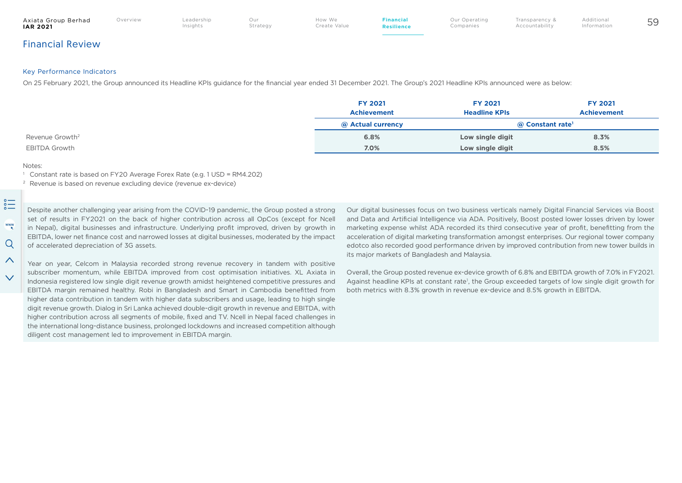#### Axiata Group Berhad<br>IAR 2021 **IAR 2021** 59 Our

Overview Leadership Insights

Strategy

Create Value **Financial Resilience** Our Operating Companies

Additional Information

Transparency & Accountability

Financial Review

## Key Performance Indicators

On 25 February 2021, the Group announced its Headline KPIs guidance for the financial year ended 31 December 2021. The Group's 2021 Headline KPIs announced were as below:

|                             | <b>FY 2021</b><br>Achievement | <b>FY 2021</b><br><b>Headline KPIs</b> | <b>FY 2021</b><br>Achievement |
|-----------------------------|-------------------------------|----------------------------------------|-------------------------------|
|                             | @ Actual currency             | @ Constant rate <sup>1</sup>           |                               |
| Revenue Growth <sup>2</sup> | 6.8%                          | Low single digit                       | 8.3%                          |
| <b>EBITDA Growth</b>        | 7.0%                          | Low single digit                       | 8.5%                          |

How We

#### Notes:

 $\wedge$ 

 $\checkmark$ 

<sup>1</sup> Constant rate is based on FY20 Average Forex Rate (e.g. 1 USD = RM4.202)

<sup>2</sup> Revenue is based on revenue excluding device (revenue ex-device)

 $\sum_{\circ}^{\circ}$ Despite another challenging year arising from the COVID-19 pandemic, the Group posted a strong set of results in FY2021 on the back of higher contribution across all OpCos (except for Ncell www in Nepal), digital businesses and infrastructure. Underlying profit improved, driven by growth in EBITDA, lower net finance cost and narrowed losses at digital businesses, moderated by the impact  $\Omega$ of accelerated depreciation of 3G assets.

Year on year, Celcom in Malaysia recorded strong revenue recovery in tandem with positive subscriber momentum, while EBITDA improved from cost optimisation initiatives. XL Axiata in Indonesia registered low single digit revenue growth amidst heightened competitive pressures and EBITDA margin remained healthy. Robi in Bangladesh and Smart in Cambodia benefitted from higher data contribution in tandem with higher data subscribers and usage, leading to high single digit revenue growth. Dialog in Sri Lanka achieved double-digit growth in revenue and EBITDA, with higher contribution across all segments of mobile, fixed and TV. Ncell in Nepal faced challenges in the international long-distance business, prolonged lockdowns and increased competition although diligent cost management led to improvement in EBITDA margin.

Our digital businesses focus on two business verticals namely Digital Financial Services via Boost and Data and Artificial Intelligence via ADA. Positively, Boost posted lower losses driven by lower marketing expense whilst ADA recorded its third consecutive year of profit, benefitting from the acceleration of digital marketing transformation amongst enterprises. Our regional tower company edotco also recorded good performance driven by improved contribution from new tower builds in its major markets of Bangladesh and Malaysia.

Overall, the Group posted revenue ex-device growth of 6.8% and EBITDA growth of 7.0% in FY2021. Against headline KPIs at constant rate<sup>1</sup>, the Group exceeded targets of low single digit growth for both metrics with 8.3% growth in revenue ex-device and 8.5% growth in EBITDA.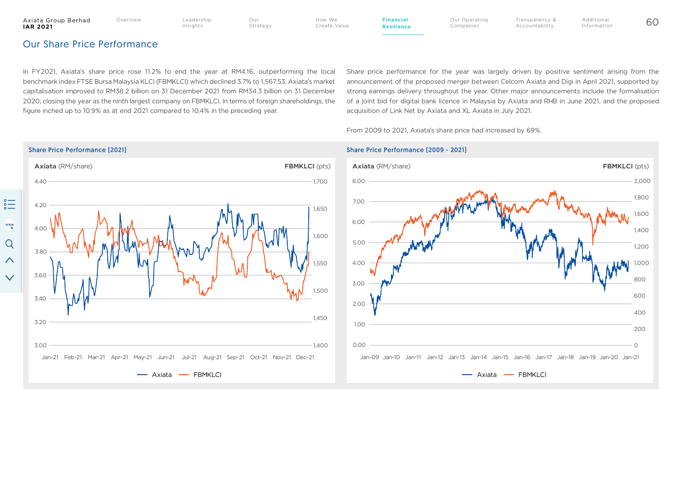$rac{1}{2}$ 

 $\frac{www}{\kappa}$ 

Q

 $\curvearrowright$ 

 $\checkmark$ 

Create Value

How We

Our Operating Companies

Transparency & Accountability Additional Information

# Our Share Price Performance

In FY2021, Axiata's share price rose 11.2% to end the year at RM4.16, outperforming the local benchmark index FTSE Bursa Malaysia KLCI (FBMKLCI) which declined 3.7% to 1,567.53. Axiata's market capitalisation improved to RM38.2 billion on 31 December 2021 from RM34.3 billion on 31 December 2020, closing the year as the ninth largest company on FBMKLCI. In terms of foreign shareholdings, the figure inched up to 10.9% as at end 2021 compared to 10.4% in the preceding year.

Share price performance for the year was largely driven by positive sentiment arising from the announcement of the proposed merger between Celcom Axiata and Digi in April 2021, supported by strong earnings delivery throughout the year. Other major announcements include the formalisation of a joint bid for digital bank licence in Malaysia by Axiata and RHB in June 2021, and the proposed acquisition of Link Net by Axiata and XL Axiata in July 2021.

From 2009 to 2021, Axiata's share price had increased by 69%.



### Share Price Performance (2021) Share Price Performance (2009 - 2021)

**Financial Resilience**